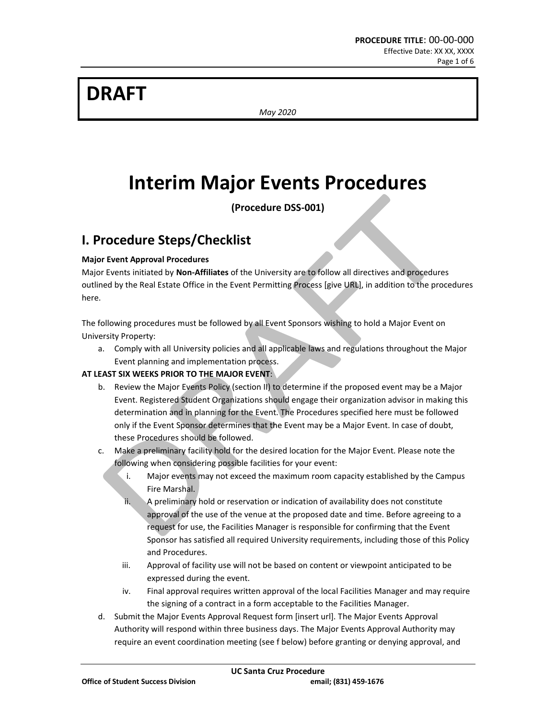# **DRAFT**

*May 2020*

# **Interim Major Events Procedures**

**(Procedure DSS-001)**

### **I. Procedure Steps/Checklist**

### **Major Event Approval Procedures**

Major Events initiated by **Non-Affiliates** of the University are to follow all directives and procedures outlined by the Real Estate Office in the Event Permitting Process [give URL], in addition to the procedures here.

The following procedures must be followed by all Event Sponsors wishing to hold a Major Event on University Property:

a. Comply with all University policies and all applicable laws and regulations throughout the Major Event planning and implementation process.

### **AT LEAST SIX WEEKS PRIOR TO THE MAJOR EVENT**:

- b. Review the Major Events Policy (section II) to determine if the proposed event may be a Major Event. Registered Student Organizations should engage their organization advisor in making this determination and in planning for the Event. The Procedures specified here must be followed only if the Event Sponsor determines that the Event may be a Major Event. In case of doubt, these Procedures should be followed.
- c. Make a preliminary facility hold for the desired location for the Major Event. Please note the following when considering possible facilities for your event:
	- i. Major events may not exceed the maximum room capacity established by the Campus Fire Marshal.
	- ii. A preliminary hold or reservation or indication of availability does not constitute approval of the use of the venue at the proposed date and time. Before agreeing to a request for use, the Facilities Manager is responsible for confirming that the Event Sponsor has satisfied all required University requirements, including those of this Policy and Procedures.
	- iii. Approval of facility use will not be based on content or viewpoint anticipated to be expressed during the event.
	- iv. Final approval requires written approval of the local Facilities Manager and may require the signing of a contract in a form acceptable to the Facilities Manager.
- d. Submit the Major Events Approval Request form [insert url]. The Major Events Approval Authority will respond within three business days. The Major Events Approval Authority may require an event coordination meeting (see f below) before granting or denying approval, and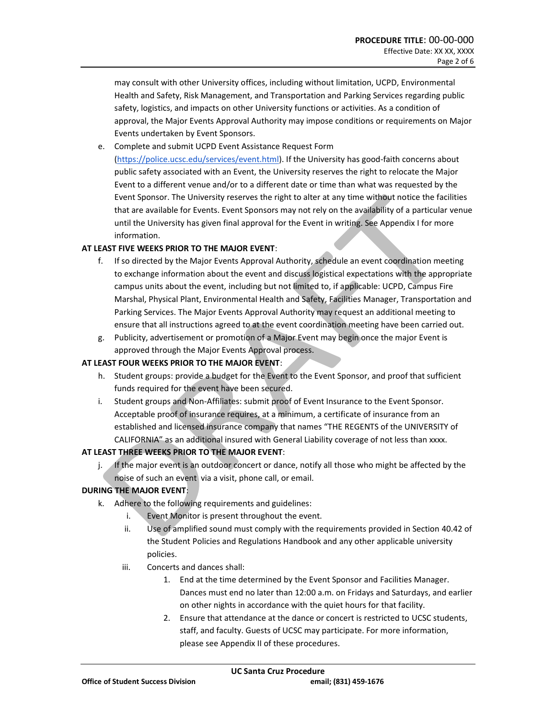may consult with other University offices, including without limitation, UCPD, Environmental Health and Safety, Risk Management, and Transportation and Parking Services regarding public safety, logistics, and impacts on other University functions or activities. As a condition of approval, the Major Events Approval Authority may impose conditions or requirements on Major Events undertaken by Event Sponsors.

e. Complete and submit UCPD Event Assistance Request Form [\(https://police.ucsc.edu/services/event.html\)](https://police.ucsc.edu/services/event.html). If the University has good-faith concerns about public safety associated with an Event, the University reserves the right to relocate the Major Event to a different venue and/or to a different date or time than what was requested by the Event Sponsor. The University reserves the right to alter at any time without notice the facilities that are available for Events. Event Sponsors may not rely on the availability of a particular venue until the University has given final approval for the Event in writing. See Appendix I for more information.

#### **AT LEAST FIVE WEEKS PRIOR TO THE MAJOR EVENT**:

- f. If so directed by the Major Events Approval Authority, schedule an event coordination meeting to exchange information about the event and discuss logistical expectations with the appropriate campus units about the event, including but not limited to, if applicable: UCPD, Campus Fire Marshal, Physical Plant, Environmental Health and Safety, Facilities Manager, Transportation and Parking Services. The Major Events Approval Authority may request an additional meeting to ensure that all instructions agreed to at the event coordination meeting have been carried out.
- g. Publicity, advertisement or promotion of a Major Event may begin once the major Event is approved through the Major Events Approval process.

#### **AT LEAST FOUR WEEKS PRIOR TO THE MAJOR EVENT**:

- h. Student groups: provide a budget for the Event to the Event Sponsor, and proof that sufficient funds required for the event have been secured.
- i. Student groups and Non-Affiliates: submit proof of Event Insurance to the Event Sponsor. Acceptable proof of insurance requires, at a minimum, a certificate of insurance from an established and licensed insurance company that names "THE REGENTS of the UNIVERSITY of CALIFORNIA" as an additional insured with General Liability coverage of not less than xxxx.

### **AT LEAST THREE WEEKS PRIOR TO THE MAJOR EVENT**:

j. If the major event is an outdoor concert or dance, notify all those who might be affected by the noise of such an event via a visit, phone call, or email.

#### **DURING THE MAJOR EVENT**:

- k. Adhere to the following requirements and guidelines:
	- i. Event Monitor is present throughout the event.
	- ii. Use of amplified sound must comply with the requirements provided in Section 40.42 of the Student Policies and Regulations Handbook and any other applicable university policies.
	- iii. Concerts and dances shall:
		- 1. End at the time determined by the Event Sponsor and Facilities Manager. Dances must end no later than 12:00 a.m. on Fridays and Saturdays, and earlier on other nights in accordance with the quiet hours for that facility.
		- 2. Ensure that attendance at the dance or concert is restricted to UCSC students, staff, and faculty. Guests of UCSC may participate. For more information, please see Appendix II of these procedures.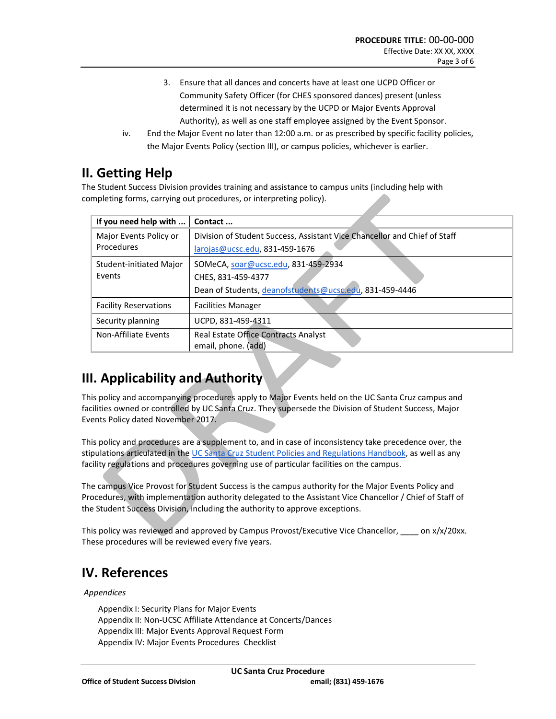- 3. Ensure that all dances and concerts have at least one UCPD Officer or Community Safety Officer (for CHES sponsored dances) present (unless determined it is not necessary by the UCPD or Major Events Approval Authority), as well as one staff employee assigned by the Event Sponsor.
- iv. End the Major Event no later than 12:00 a.m. or as prescribed by specific facility policies, the Major Events Policy (section III), or campus policies, whichever is earlier.

## **II. Getting Help**

The Student Success Division provides training and assistance to campus units (including help with completing forms, carrying out procedures, or interpreting policy).

| If you need help with        | Contact                                                                   |
|------------------------------|---------------------------------------------------------------------------|
| Major Events Policy or       | Division of Student Success, Assistant Vice Chancellor and Chief of Staff |
| Procedures                   | larojas@ucsc.edu, 831-459-1676                                            |
| Student-initiated Major      | SOMeCA, soar@ucsc.edu, 831-459-2934                                       |
| Events                       | CHES, 831-459-4377                                                        |
|                              | Dean of Students, deanofstudents@ucsc.edu, 831-459-4446                   |
| <b>Facility Reservations</b> | <b>Facilities Manager</b>                                                 |
| Security planning            | UCPD, 831-459-4311                                                        |
| Non-Affiliate Events         | Real Estate Office Contracts Analyst                                      |
|                              | email, phone. (add)                                                       |

# **III. Applicability and Authority**

This policy and accompanying procedures apply to Major Events held on the UC Santa Cruz campus and facilities owned or controlled by UC Santa Cruz. They supersede the Division of Student Success, Major Events Policy dated November 2017.

This policy and procedures are a supplement to, and in case of inconsistency take precedence over, the stipulations articulated in the [UC Santa Cruz Student Policies and Regulations Handbook,](https://deanofstudents.ucsc.edu/student-conduct/student-handbook/index.html) as well as any facility regulations and procedures governing use of particular facilities on the campus.

The campus Vice Provost for Student Success is the campus authority for the Major Events Policy and Procedures, with implementation authority delegated to the Assistant Vice Chancellor / Chief of Staff of the Student Success Division, including the authority to approve exceptions.

This policy was reviewed and approved by Campus Provost/Executive Vice Chancellor, \_\_\_\_ on x/x/20xx. These procedures will be reviewed every five years.

# **IV. References**

### *Appendices*

Appendix I: Security Plans for Major Events Appendix II: Non-UCSC Affiliate Attendance at Concerts/Dances Appendix III: Major Events Approval Request Form Appendix IV: Major Events Procedures Checklist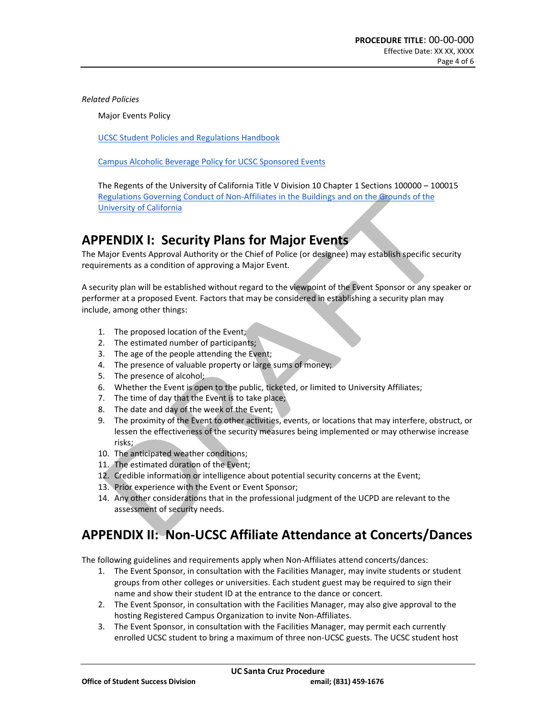*Related Policies*

Major Events Policy

[UCSC Student Policies and Regulations Handbook](https://deanofstudents.ucsc.edu/student-conduct/student-handbook/)

[Campus Alcoholic Beverage Policy for UCSC Sponsored Events](https://policy.ucsc.edu/policies/purchasing-and-material-management/evc001.html)

The Regents of the University of California Title V Division 10 Chapter 1 Sections 100000 – 100015 [Regulations Governing Conduct of Non-Affiliates in the Buildings and on the Grounds of the](https://policy.ucop.edu/doc/3000127/NonAffiliateRegs)  [University of California](https://policy.ucop.edu/doc/3000127/NonAffiliateRegs)

### **APPENDIX I: Security Plans for Major Events**

The Major Events Approval Authority or the Chief of Police (or designee) may establish specific security requirements as a condition of approving a Major Event.

A security plan will be established without regard to the viewpoint of the Event Sponsor or any speaker or performer at a proposed Event. Factors that may be considered in establishing a security plan may include, among other things:

- 1. The proposed location of the Event;
- 2. The estimated number of participants;
- 3. The age of the people attending the Event;
- 4. The presence of valuable property or large sums of money;
- 5. The presence of alcohol;
- 6. Whether the Event is open to the public, ticketed, or limited to University Affiliates;
- 7. The time of day that the Event is to take place;
- 8. The date and day of the week of the Event;
- 9. The proximity of the Event to other activities, events, or locations that may interfere, obstruct, or lessen the effectiveness of the security measures being implemented or may otherwise increase risks;
- 10. The anticipated weather conditions;
- 11. The estimated duration of the Event;
- 12. Credible information or intelligence about potential security concerns at the Event;
- 13. Prior experience with the Event or Event Sponsor;
- 14. Any other considerations that in the professional judgment of the UCPD are relevant to the assessment of security needs.

# **APPENDIX II: Non-UCSC Affiliate Attendance at Concerts/Dances**

The following guidelines and requirements apply when Non-Affiliates attend concerts/dances:

- 1. The Event Sponsor, in consultation with the Facilities Manager, may invite students or student groups from other colleges or universities. Each student guest may be required to sign their name and show their student ID at the entrance to the dance or concert.
- 2. The Event Sponsor, in consultation with the Facilities Manager, may also give approval to the hosting Registered Campus Organization to invite Non-Affiliates.
- 3. The Event Sponsor, in consultation with the Facilities Manager, may permit each currently enrolled UCSC student to bring a maximum of three non-UCSC guests. The UCSC student host